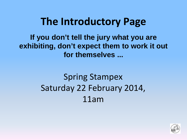**If you don't tell the jury what you are exhibiting, don't expect them to work it out for themselves ...**

# Spring Stampex Saturday 22 February 2014, 11am

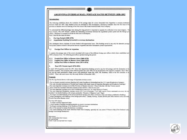#### **ARGENTINA OVERSEAS MAIL: POSTAGE RATES BETWEEN 1858-1892**

#### **Introduction:**

The following exhibition shows the evolution of the postage rates for covers forwarded from Argentina to overseas destination between 1858 and 1892. Only franked covers are presented in this investigation, illustrating examples since the first issue of th province of Buenos Aires till franking of the First Issue of the South American Bank Note Company.

To understand the different postage rates during this long period it is important to separate the collection in two main chapters. The first of them, "Pre UPU Period", exhibits the interesting coexistence between the argentinian postal system and the foreign por offices. Therefore it is needed to divide this first one in subchapters. Next I describe the main divisions:

**Pre Upu Period (1858-1878)** 

#### 1.1 Argentinian franking forwarded to overseas destinations

This subchapter shows examples of covers franked with argentinian issues. This franking served to pay only the domestic postage Non postal contract existed in this period between Argentina and other transatlantic postal organizations.

#### $1.2$ **Foreign Post Offices in Argentina**

It explains the postage rates of the covers circulated with issues of the different foreign post offices which where established unt 1878 in Buenos Aires. The following post offices operated during this period:

- 1.2.1 French Post Office in Buenos Aires (1860-1878)
- 1.2.2 English Post Office in Buenos Aires (1860-1878)
- 1.2.3 Italian Post Office in Buenos Aires (1873-1878)

#### Post UPU Period (April 1878-1892) 2.

In April 1878 Argentina joined the UPU. Since then argentinian franking served to pay the full postage until the destination of th member countries. The evolution of the different postal rates until 1892 will be documented with respective examples. Since 1893 was not any more permitted to frank covers with postclassic issues like ABN, NB, Bradbury, Kidd or the first emission of th SABNC. That is the main reason why this study finishes in December 1892.

#### **Contents**

The Pre Upu Period shows a wide range of important overseas covers:

The two largest recorded overseas franking (4x5 cents Escuditos to Switzerland and the 15+5 cents Rivadavia to Germany) The only recorded destinations of Sweden and Canada with classic issues of Argentina (Barquitos and Rivadavias frankings)

The most important overseas cover of the Province of Buenos Aires (2x 1 Pesos Cabecitas with San Vicente cancel)

Three of the four recorded Cabecitas overseas covers with the 1 Peso in rose color

The most important overseas cover with Confederation issues (2x5 cts. large figures to France)

The most important Rivadavias overseas covers (15+5 cts to Germany, 5 cts. with Lacroix Freres watermark on cover, the tw recorded 5 cts double franking with uniques postmarks: "Rosario a Villanueva" and "Tigre)

The largest recorded franking of the british and french foreign post offices in Buenos Aires and unique combination frankings Unique destinations with franking of the foreign post office: Canada, Norway, Austria (British post office Buenos Aires) and India (French Post office Buenos Aires)

#### The Post UPU shows:

A unique overseas stagecoach letter

- A large number of unique recorded postmarks on cover to overseas destinations
- The largest existing frankings of the Bradbrury/Wilkinson issue

Most of the unusual or unique destinations in existence

Very scarce franking of the South American Bank Note Company, specially the very scarce 5 Pesos to Italy (First Declared value postage to an foreign destination)

Abbreviations: ABN: American Bank Note Company NB: National Bank SABNC: South American Bank Note Company

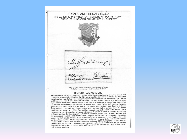

many important coastal cities which formed the basis for their later rule in Southeastern Europe. Bosnia and Herzegovina were Turkish provinces until 1878. The first "Imperial Ottoman Post" delivery in the region was created by order of Omar Pascha in 1840 and provided service by horse - Tatar Courier Post - in between Bosnia Brood and Constantinople every 8 days. From 1846 to 1848 postal service were given also to a private trader Spiridion Rajkovic, but only for letters and only from Sarajevo to Bosnia Brood and back. Only after 1848 Turks organized slowly real post stations and post routes in between most important locations in B&H. The Austrian consulate provided courier postal service, which delivered post from Herzegovina to the nearest Austrian P. Offices in Metkovic, through Livno or Sign to Spalato and from Bosnia through Brood, Gradiska, Kostajniza, Rajevo Selo... Austria - Hungary ruled the provinces as occupied zones after the Berlin Congress. On the 1 of July, 1879 military occupation stamps for B&H, printed in Vienna at the State Printing Works, were used for the first time for postal services. Those stamps, showing only the Coats of Arms with Lions and Eagles, with value in kreuzer, were in use for 20 years, were printed in Lithography and since 1894 in Typography. The main intention of this Exhibit was to present part of the postal history on the territories of the Bosnia and Herzegovina beginning with Ottoman pre-philatelic period and finishing with the Austrian Occupation Military Issues I and II, ending with 1900.

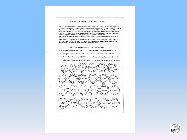#### BULGARIAN PALACE POSTMARKS, 1890-1946

The Palace Postmarks are a special group of cancels used in the Palace Post Offices during the time of Monarchy in Bulgaria. The first Palace Post Office was opened on 02.11.1884 in Sofia, but used no Palace Postmark. The first Palace Postmark came to use in 1890 in Sofia. Until the end of the France Fostmank. The lines France Fostmank caller to use in 1990 in Solicity and painting and painting and painting and painting and painting and painting and painting and painting and painting the painting of the painting The study of the various Palace Postmarks is made by each Palace separately starting with Sofia Palace.

-<br>Each Postmark is described by its measurements, inscription, earliest and latest known usage and<br>colour of postal ink. For this reason on every exhibit page are mounted various postal items like: mailed covers and postcards, postal forms and registration labels.

Listing of the Palaces and period of their Postmarks usage:

 $\circ$ 

| 1. Sofia Palace Postmarks, 1890-1946.       | 5. Tsarska Bistritsa Palace Postmarks, 1904 -1914. |
|---------------------------------------------|----------------------------------------------------|
| 2. Euxinograde Palace Postmarks, 1894-1944. | 6. Vrana Palace Postmarks, 1904 -1914.             |
| 3. Plovdiv Palace Postmarks, 1901-1913.     | 7. Krichim Palace Postmarks, 1937-1944.            |
| 4. Sitniakovo Palace Postmarks, 1901 -1913. | 8. Other Cancellations From The Palace.            |



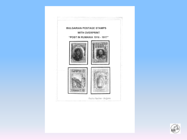

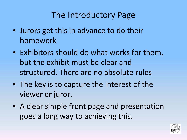- Jurors get this in advance to do their homework
- Exhibitors should do what works for them, but the exhibit must be clear and structured. There are no absolute rules
- The key is to capture the interest of the viewer or juror.
- A clear simple front page and presentation goes a long way to achieving this.

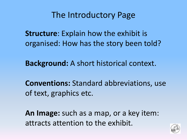**Structure**: Explain how the exhibit is organised: How has the story been told?

**Background:** A short historical context.

**Conventions:** Standard abbreviations, use of text, graphics etc.

**An Image:** such as a map, or a key item: attracts attention to the exhibit.

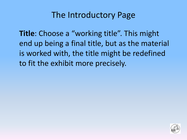**Title**: Choose a "working title". This might end up being a final title, but as the material is worked with, the title might be redefined to fit the exhibit more precisely.

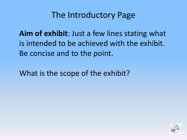**Aim of exhibit**: Just a few lines stating what is intended to be achieved with the exhibit. Be concise and to the point.

What is the scope of the exhibit?

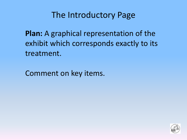**Plan:** A graphical representation of the exhibit which corresponds exactly to its treatment.

Comment on key items.

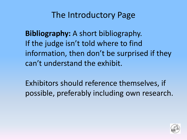**Bibliography:** A short bibliography. If the judge isn't told where to find information, then don't be surprised if they can't understand the exhibit.

Exhibitors should reference themselves, if possible, preferably including own research.

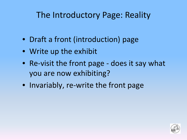## The Introductory Page: Reality

- Draft a front (introduction) page
- Write up the exhibit
- Re-visit the front page does it say what you are now exhibiting?
- Invariably, re-write the front page

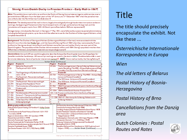### Slesvig: From Danish Duchy to Prussian Province - Early Mail to 18671

Aim:•This exhibits hows mail within, to and from the Duchy of Slesvig, from private carriage to publicservice, over a periodofalmost 300 years from the latter years of the 16\* century to 31\* December 1867 when the postal service was unified under the North German Confederation.

Structure: The development of the mail is shown, largely chronologically through handwritten instructions and town .<br>markings, the beginning of framed and other hand stamped marks of origin, particularly on foreign mail, and the ¶intro duction of true post marks from 1844. All Danish post offices before 1864 are represented.

.<br>Postage stamps, intro duce d by Denmark-in Slesvig on Ht May-1851, were followed by successive postal administrations, .<br>Including the field postalsystems, up to the end of the adhesive issues for the Duchies of Schleswig and Holstein, which complete the exhibit.

Back ground: The Duchies of Slesvigand Holsten (Schleswigand Holstein in German) were associated with the Danish Crown from the late Middle Ages, until the Second Schleswig War of 1864 when they were seized by Prussia .<br>and Austria. Slesvigwas always more Danish and Holstein more German, and neither Duchy was ever part of the ' Danish-Kingdom. The population of the Duchies -did-not-exceed a-million-until-1864. Slesvig's population was less than-30% of that in Holstein, and philatelic material is correspondingly scarce.

Conventions: Ant and LAP are used throughout to describe Antiqua (Serif) and Lapidar (sans -Serif) type faces for cancellers and other handstamps. All manuscript markings are noted in the text in *italics*. The abbreviation Cds is used for circular datestamp. Items of particular interest are marked  $\boxtimes$  . while Shows mail carried by the Slesvig Railway (

| Section Break (Continuous)                       |                                                                 |                    |                                                                  |  |
|--------------------------------------------------|-----------------------------------------------------------------|--------------------|------------------------------------------------------------------|--|
| Pagesn                                           | Frame-l¤                                                        | Pagesn             | Frame-4¤                                                         |  |
|                                                  | Before the Royal mail 9                                         | 49-64¤             | The first-postage stamps in Slesvig: Schleswig-Holstein stamps-  |  |
| $3-4n$                                           | The-Royal-mail-1624-1653¤                                       |                    | used-in-Rendsburg-The-4RBS--Antiqua-Date-stamps-and-Mute-        |  |
|                                                  |                                                                 |                    | Cancellers: First-Day covers from -Denmark and Slesvig¤          |  |
| 4-8¤                                             | The Klingen berg and Gylden løve farmed post¤                   | п                  | Frame-5n                                                         |  |
|                                                  | $1653 - 17114$                                                  | $65 - 720$         | The first postage stamps in Slesvig. The 4RBS - Antiqua Date to  |  |
| 9-16¤                                            | The-Royal-mail--Manuscript-markings¤                            |                    | stamps and Numeral Cancellers¤                                   |  |
|                                                  | Frame-2¤                                                        | $73 - 770$         | The-1854-issue -- Antiqua and-Numeral Cancellers¤                |  |
| $17 - 21n$                                       | The-Royal-mail--Manuscript-markings¤                            | 78-80 <sub>p</sub> | The-1858-issue -- Antiqua and Numeral Cancellers¤                |  |
| $22 - 290$                                       | Slesvig and the Napoleonic Wars¤                                | п                  | Frame 6n                                                         |  |
| $30-310$                                         | The-Introduction of framed-post-marks¤                          | $81 - 960$         | 1862/3-Last-years of the Danish-post-in-the-Duchy of Slesvigt    |  |
| 32¤                                              | Cholera-maild                                                   | п                  | Frame-71n                                                        |  |
|                                                  | Frame-3p                                                        |                    | 97-1040 1864 and the Danish/Austrian-Prussian-Ward               |  |
| $33 - 36\pi$                                     | Handstampedand-Manuscript-town-marks¤                           |                    | 105-1120 Prussian and Austrian Post in the Duchy of Slesvigo     |  |
| $37 - 380$                                       | Antiqua-II--The one-and-a-half-ring-datestampt                  | п                  | Frame-8¤                                                         |  |
| $39 - 400$                                       | Ship-mail-and-the-Duchy-of-Slesvig¤                             |                    | 113-1280 1865-67 - Newstamps for Schleswig, Holstein and D       |  |
| $41 - 480$                                       | Three-Years-War-1848-1851 - The-First D                         |                    | Schleswig-Holstein                                               |  |
|                                                  | Schleswig-Up rising¤                                            |                    |                                                                  |  |
|                                                  |                                                                 |                    |                                                                  |  |
|                                                  | Bibliography and Sourcess                                       |                    | Die-klassischen-deutschen-Feldpoststempel-Wildschütz-19954       |  |
|                                                  | Altdeutschland-Spezial-Katalog-und-Handbuch-5.-Auflag-Grobe-    |                    | Französische-Armeepost-Rein hardt-1986¶                          |  |
| 19754                                            |                                                                 |                    | Grundbog-i-Analyse-af-Danske-Prefilatelistiske-Breve-Maintz-1987 |  |
|                                                  | An-Introduction-to-the-Postal-History-of-Denmark-1624-1950-     |                    | Nordisk-Filatelistisk-Tidskrift an d-Posthistorisk-Tidskrift¶    |  |
| Cornelius-20044                                  |                                                                 |                    | P&Ts-Historie-(Del-1-2)-General-Direktoratet-for-Post-og-        |  |
|                                                  | Bogen om danske breve 1800-1851 - Jacobsen 1999                 |                    | Telegrafvæsenet-1991¶                                            |  |
|                                                  | Klassisk-Danmark-DAKA-1999¶                                     |                    | Postbesørgelsen i Danmark-under 1864-krigen Meedom 1998          |  |
| Danmarks-Poststempler-Vagn-Jensen-2002-          |                                                                 |                    | Postvæsenet i Danmark 1711-1848 Olsen - 1903 ¶                   |  |
|                                                  | Danske-Poststemplerfør Frimærketiden-Rathje-1953                |                    | Schleswig-Holsteinische Arbeitgemeinschaft-Handbooks¶            |  |
|                                                  | De-Danske-Jembanebureauer og deres stempler Del-2 - Hoverd-1995 |                    | Sønderjylland DAKA-1999¶                                         |  |
|                                                  | Deutsche-Vorphilatelie-Feuser-1988                              |                    | Stampless-Mail-to-and-from-Scandinavia-to-1868-Hugh merk-en d-   |  |
| Den-Danske-Postetat-1624-1927-(1983)-Nørby-2008¶ |                                                                 |                    | Halpern-19994 Section Break (Continuous)                         |  |
|                                                  |                                                                 |                    |                                                                  |  |
|                                                  |                                                                 |                    |                                                                  |  |

## Title

The title should precisely encapsulate the exhibit. Not like these ...

*Österreichische Internationale Korrespondenz in Europa*

### *Wien*

*The old letters of Belarus*

*Postal History of Bosnia-Herzegovina*

*Postal History of Brno*

*Cancellations from the Danzig area*

*Dutch Colonies : Postal Routes and Rates*

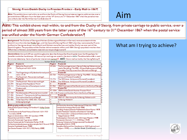### Slesvig:-From-Danish-Duchy-to-Prussian-Province---Early-Mail-to-18679

Aim:•This exhibits hows mail within, to and from the Duchy of Slesvig, from private carriage to publicservice, over a beriodofalmost 300 years from the latter years of the 16th century to 31th December 1867 when the postal service was unified under the North German Confederation.

### Aim

Aim: This exhibit shows mail within, to and from the Duchy of Slesvig, from private carriage to public service, over a period of almost 300 years from the latter years of the 16<sup>th</sup> century to 31st. December 1867 when the postal service was unified under the North German Confederation.

Back ground: The Duchies of Slesvigand Holsten (Schleswigand Holstein in German) were associated with the :<br>Danish Crown from the late Middle Ages, until the Second Schleswig War of 1864 when they were seized by Prussia .<br>and Austria. Slesvig was always-more-Danish-and Holstein-more German, and neither-Duchy-was-ever-part-of-the-Danish Kingdom. The population of the Duchies-did-not-exceed a-million-until-1864. Slesvig's population was less than-30% of that in Holstein, and philatelic material is correspondingly scarce.

Conventions: Ant and LAP are used throughout to describe Antiqua (Serif) and Lapidar (sans-Serif) type faces for cancellers and other handstamps. All manuscript markings are noted in the text in *italics*. The abbreviation Cds is used for circular datestamp. Items of particular interest are marked  $\boxtimes$ . setting Shows mail carried by the Slesvig Railway.

|                                                  |                                                               |                    | Section Break (Continuous)                                       |  |
|--------------------------------------------------|---------------------------------------------------------------|--------------------|------------------------------------------------------------------|--|
| Pages¤                                           | Frame-In                                                      | Pagesn             | Frame-4¤                                                         |  |
| $\frac{29}{3-40}$                                | Before the Royal mail 1                                       | $49 - 640$         | The first-postage stamps-in-Slesvig: Schleswig-Holstein stamps-  |  |
|                                                  | The-Royal-mail-1624-1653¤                                     |                    | used-in-Rendsburg. The 4RBS--Antiqua-Date-stamps-and Mute-       |  |
|                                                  |                                                               |                    | Cancellers: First-Day covers from-Denmark and Slesvig¤           |  |
| $4 - 8 =$                                        | The Klingen berg and Gylden løve farmed post¤                 | п                  | Frame-5n                                                         |  |
|                                                  | $1653 - 17114$                                                | $65 - 720$         | The first postage stamps in Slesvig . The 4RBS - Antiqua Date to |  |
| $9 - 160$                                        | The-Royal-mail--Manuscript-markings¤                          |                    | stamps and Numeral Cancellers¤                                   |  |
|                                                  | Frame-2p                                                      | 73-77¤             | The-1854-issue -- Antiqua and Numeral Cancellers¤                |  |
| $17 - 21n$                                       | The-Royal-mail--Manuscript-markings¤                          | 78-80 <sub>p</sub> | The-1858-issue -- Antiqua and Numeral Cancellers¤                |  |
| $22 - 290$                                       | Slesvig and the Napoleonic Wars¤                              | п                  | Frame 6n                                                         |  |
| $30 - 31a$                                       | The-Introduction of framed-post-marks¤                        | $81 - 960$         | 1862/3-Last-years of the-Danish-post-in-the-Duchy of Slesvigtic  |  |
| 32 <sub>0</sub>                                  | Cholera-mailo                                                 | п                  | Frame-71n                                                        |  |
|                                                  | Frame-3p                                                      |                    | 97-1040   864-an d-the-Danish/Austrian-Prussian-Warn             |  |
| $33 - 36\pi$                                     | Handstampedand-Manuscript-town-marks¤                         |                    | 105-1120 Prussian and Austrian Post in the Duchy of Slesvign     |  |
| $37 - 380$                                       | Antiqua-II--The one and a-half-ring-datestampt                | п                  | Frame-8¤                                                         |  |
| 39-40¤                                           | Ship-mail-and-the-Duchy-of-Slesvig¤                           |                    | 113-1280 1865-67 - New stamps for Schleswig, Holstein and D      |  |
| $41 - 480$                                       | Three-Years-War-1848-1851 - The-First D                       |                    | Schleswig-Holste                                                 |  |
|                                                  | Schleswig-Up rising¤                                          |                    |                                                                  |  |
|                                                  |                                                               |                    |                                                                  |  |
| <b>Bibliography and Sourcess 4</b>               |                                                               |                    | Die-klassischen deutschen Feldpoststempel-Wildschütz-19954       |  |
|                                                  | Altdeutschland-Spezial-Katalog-und-Handbuch-5.-Auflag--Grobe- |                    | Französische Armeepost-Rein hardt - 1986                         |  |
| 19750                                            |                                                               |                    | Grundbog-i-Analyse-af-Danske-Prefilatelistiske-Breve-Maintz-1987 |  |
|                                                  | An-Introduction-to-the-Postal-History-of-Denmark-1624-1950-   |                    | Nordisk-Filatelistisk-Tidskrift an d-Posthistorisk-Tidskrift     |  |
| Cornelius-20041                                  |                                                               |                    | P&Ts-Historie-(Del-1-2)-General-Direktoratet-for-Post-og-        |  |
| Bogen om danske breve 1800-1851 - Jacobsen 1999  |                                                               |                    | Telegrafvæsenet-1991¶                                            |  |
| Klassisk-Danmark-DAKA-1999¶                      |                                                               |                    | Postbesørgelsen i Danmark-under 1864-krigen Mee do m-1998        |  |
| Danmarks-Poststempler-Vagn-Jensen-2002-1         |                                                               |                    | Postvæsenet i Danmark 1711-1848 Olsen - 1903 1                   |  |
|                                                  | Danske-Poststempler før Frimærketiden-Rathje-1953             |                    | Schleswig-Holsteinische Arbeitgemeinschaft-Handbooks             |  |
|                                                  | De-Danske-Jembanebureauer og deres stempler Del-2-Hovard-1995 |                    | Sanderiylland-DAKA-1999¶                                         |  |
|                                                  | Deutsche-Vorphilatelie-Feuser-1988                            |                    | Stampless-Mail-to-and-from-Scandinavia-to-1868-Hugh mark-an d-   |  |
| Den-Danske-Postetat-1624-1927-(1983)-Nørby-2008¶ |                                                               |                    | Halpern-1999¶ Section Break (Continuous)                         |  |
|                                                  |                                                               |                    |                                                                  |  |
|                                                  |                                                               |                    |                                                                  |  |

### What am I trying to achieve?

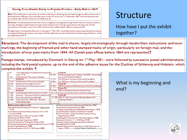### Slesvig: From Danish Duchy to Prussian Province -- Early Mail to 18671

Aim:•This exhibits hows-mail-within, to-and-from the Duchy-of-Slesvig, from-private carriage-to-publicservice, over aperiodofalmost 300 years from the latter years of the 16\* century to 31\* December 1867 when the postal service was unified under the North German Confederation.

Structure: The development of the mail is shown, largely chronologically through handwritten instructions and town .<br>markings, the beginning of framed and other hand stamped marks of origin, particularly on foreign mail, and the ] #intro duction of true post∙marks from∙1844.∙All•Danish∙post offices∙before 1864-are∙represented

Postage stamps, intro duce dby Denmark-in-Slesvig on-It-May-1851, were followed by successive postal administrations, .<br>Including the field postalsystems, up to the end of the adhesive issues for the Duchies of Schleswig and Holstein, which complete the exhibit.

### Structure

How have I put the exhibit together?

Structure: The development of the mail is shown, largely chronologically through handwritten instructions and town markings, the beginning of framed and other hand stamped marks of origin, particularly on foreign mail, and the introduction·of·true·post·marks·from· 1844.·All·Danish·post·offices·before·1864·are·represented.

Postage stamps, introduced by Denmark in Slesvig on Ist May 1851, were followed by successive postal administrations, including the field postal systems, up to the end of the adhesive issues for the Duchies of Schleswig and Holstein, which complete the exhibit. [

| 4-80                                                        | I he Klingenberg and Gyldenløve farmed post¤ ¤                |             | Frame 5¤                                                           |
|-------------------------------------------------------------|---------------------------------------------------------------|-------------|--------------------------------------------------------------------|
|                                                             | $1653 - 17114$                                                | $65 - 72a$  | The first postage stamps in Slesvig . The 4RBS - Antiqua Date to   |
| 9-16¤                                                       | The-Royal-mail--Manuscript-markings¤                          |             | stamps-and-Numeral-Cancellers¤                                     |
|                                                             | Frame-2¤                                                      | $73 - 770$  | The-1854-issue -- Antiqua and-Numeral Cancellers¤                  |
| $17 - 21 \pi$                                               | The-Royal-mail--Manuscript-markings¤                          | $78 - 800$  | The-1858-issue -- Antiqua and Numeral Cancellers¤                  |
| $22 - 290$                                                  | Slesvig and the Napoleonic Wars¤                              | п           | Frame 6n                                                           |
| $30-310$                                                    | The-Introduction of framed-post-marks¤                        | $81 - 960$  | 1862/3-Last-years of the Danish-post-in-the-Duchy of Slesvigth     |
| 32¤                                                         | Cholera-mail¤                                                 | π           | Frame-71n                                                          |
|                                                             | Frame-3p                                                      | $97 - 104a$ | 1864 and the Danish/Austrian-Prussian-War¤                         |
| $33 - 36\pi$                                                | Handstampedand-Manuscript-town-marks¤                         |             | 105-1120 Prussian and Austrian Post in the Duchy of Slesvigo       |
| 37-38¤                                                      | Antiqua-II--The one and a-half-ring-datestampt                | п           | Frame-8n                                                           |
| 39-40¤                                                      | Ship-mail-and-the-Duchy-of-Slesvig¤                           |             | 113-1280 1865-67 - Newstamps for Schleswig, Holstein and D         |
| $41 - 480$                                                  | Three Years War 1848-1851. The First of                       |             | Schleswig-Holstein                                                 |
|                                                             | Schleswig-Up rising¤                                          |             |                                                                    |
|                                                             |                                                               |             |                                                                    |
|                                                             | Bibliography and Sourcess                                     |             | Die-klassischen-deutschen-Feldpoststempel-Wildschütz-19954         |
|                                                             | Altdeutschland-Spezial-Katalog-und-Handbuch-5.-Auflag-Grobe-  |             | Französische Armeepost-Rein hardt 1986                             |
| 19750                                                       |                                                               |             | Grundbog i Analyse af Danske Prefilatelistiske Breve Maintz - 1987 |
| An-Introduction-to-the-Postal-History-of-Denmark-1624-1950- |                                                               |             | Nordisk-Filatelistisk-Tidskrift an d-Posthistorisk-Tidskrift       |
|                                                             | Cornelius-20041                                               |             | P&Ts Historie (Del 1-2) General Direktoratet for Post og           |
|                                                             | Bogen om danske breve 1800-1851 lacobsen 1999                 |             | Telegrafvæsenet-1991¶                                              |
| Klassisk-Danmark-DAKA-1999                                  |                                                               |             | Postbesørgelsen i Danmark-under 1864-krigen Mee do m-1998          |
| Danmarks-Poststempler-Vagn-Jensen-2002-                     |                                                               |             | Postvæsenet i Danmark 1711-1848 Olsen - 1903 ¶                     |
| Danske-Poststemplerfør Frimærketiden-Rathje-1953            |                                                               |             | Schleswig-Holsteinische Arbeitgemeinschaft-Handbooks¶              |
|                                                             | De Danske Jembanebureauer og deres stempler Del 2 Hovard 1995 |             | Sanderiylland DAKA-1999¶                                           |
|                                                             | Deutsche-Vorphilatelie-Feuser-1988                            |             | Stampless-Mail-to-and-from-Scandinavia-to-1868-Hugh mark-an d-     |
|                                                             | Den-Danske-Postetat-1624-1927-(1983)-Nørby-2008¶              |             | Halpern-1999¶ Section Break (Continuous)                           |
|                                                             |                                                               |             |                                                                    |
|                                                             |                                                               |             |                                                                    |

### What is my beginning and end?

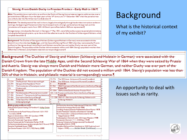#### Slesvig:-From-Danish-Duchy-to-Prussian-Province---Early-Mail-to-18679

Aim:•This exhibits hows-mail-within, to-and-from the Duchy-of-Slesvig, from-private carriage-to-publicservice, over aperiodofalmost 300-years-from-the-latter-years-of-the-16\*-century-to-31\*-December-1867-when-the-postal service was unified under the North German Confederation.

Structure: The development of the mail is shown, largely chronologically through handwritten instructions and town .<br>markings, the beginning of framed and other hand stamped marks of origin, particularly on foreign mail, and the ] #intro duction of true post∙marks from∙1844.∙All•Danish∙post offices∙before 1864-are∙represented

.<br>Postage stamps, intro duce d by Denmark-in Slesvig on Ht May-1851, were followed by successive postal administrations, .<br>Including the field postalsystems, up to the end of the adhesive issues for the Duchies of Schleswig and Holstein, which complete the exhibit.

Back ground: The Duchies of Slesvigand Holsten (Schleswigand Holstein in German) were associated with the Danish Crown from the late Middle Ages, until the Second Schleswig War of 1864 when they were seized by Prussia .<br>and Austria. Slesvigwas always more Danish and Holstein more German, and neither Duchy was ever part of the ' Danish Kingdom. The population of the Duchies-did-not-exceed a-million-until-1864. Slesvig's population was less than-30% of that in Holstein, and philatelic material is correspondingly scarce.

# Background

What is the historical context of my exhibit?

Background: The Duchies of Slesvig and Holsten (Schleswig and Holstein in German) were associated with the Danish Crown from the late Middle Ages, until the Second Schleswig War of 1864 when they were seized by Prussia and Austria. Slesvig was always more Danish and Holstein more German, and neither Duchy was ever part of the Danish Kingdom. The population of the Duchies did not exceed a million until 1864. Slesvig's population was less than 30% of that in Holstein, and philatelic material is correspondingly scarce.

| o                        | Frame-2p                                                                                                                                                                                                                                                                                                                                                                                                                                                                                                      | 73-77¤     | The-1854-issue -- Antiqua and Numeral Cancellers¤                                                                                                                                                                                                                                                                                                                                                                                                                                                                                                                                                                                                      |  |
|--------------------------|---------------------------------------------------------------------------------------------------------------------------------------------------------------------------------------------------------------------------------------------------------------------------------------------------------------------------------------------------------------------------------------------------------------------------------------------------------------------------------------------------------------|------------|--------------------------------------------------------------------------------------------------------------------------------------------------------------------------------------------------------------------------------------------------------------------------------------------------------------------------------------------------------------------------------------------------------------------------------------------------------------------------------------------------------------------------------------------------------------------------------------------------------------------------------------------------------|--|
| $17 - 21n$               | The-Royal-mail--Manuscript-markings¤                                                                                                                                                                                                                                                                                                                                                                                                                                                                          | 78-80¤     | The-1858-issue -- Antiqua-and-Numeral Cancellers¤                                                                                                                                                                                                                                                                                                                                                                                                                                                                                                                                                                                                      |  |
| $22 - 29$                | Slesvig and the Napoleonic Wars¤                                                                                                                                                                                                                                                                                                                                                                                                                                                                              | п          | Frame 6n                                                                                                                                                                                                                                                                                                                                                                                                                                                                                                                                                                                                                                               |  |
| $30-310$                 | The-Introduction of framed-post-marks¤                                                                                                                                                                                                                                                                                                                                                                                                                                                                        | $81 - 960$ | 1862/3-Last-years of the-Danish-post-in-the-Duchy of-Slesvigth                                                                                                                                                                                                                                                                                                                                                                                                                                                                                                                                                                                         |  |
| 32¤                      | Cholera-mail¤                                                                                                                                                                                                                                                                                                                                                                                                                                                                                                 | п          | Frame-71n                                                                                                                                                                                                                                                                                                                                                                                                                                                                                                                                                                                                                                              |  |
|                          | Frame-3p                                                                                                                                                                                                                                                                                                                                                                                                                                                                                                      | 97.104p    | 1864-and-the-Danish/Austrian-Prussian-Ward                                                                                                                                                                                                                                                                                                                                                                                                                                                                                                                                                                                                             |  |
| $33 - 36\pi$             | Handstampedand-Manuscript-town-marks¤                                                                                                                                                                                                                                                                                                                                                                                                                                                                         |            | 105-1120 Prussian-and-Austrian-Post-in-the-Duchy of SlesvigD                                                                                                                                                                                                                                                                                                                                                                                                                                                                                                                                                                                           |  |
| $37 - 380$               | Antiquall -- The one and a half-ring-datestampt                                                                                                                                                                                                                                                                                                                                                                                                                                                               | п          | Frame-8¤                                                                                                                                                                                                                                                                                                                                                                                                                                                                                                                                                                                                                                               |  |
| $39 - 400$               | Ship-mail-and-the-Duchy-of-Slesvig¤                                                                                                                                                                                                                                                                                                                                                                                                                                                                           |            | 113-1280 1865-67 - New stamps for Schleswig, Holstein and D                                                                                                                                                                                                                                                                                                                                                                                                                                                                                                                                                                                            |  |
| $41 - 480$               | Three-Years-War-1848-1851. The-First¤                                                                                                                                                                                                                                                                                                                                                                                                                                                                         | o          | ¦Schleswig-Holstein¤                                                                                                                                                                                                                                                                                                                                                                                                                                                                                                                                                                                                                                   |  |
|                          | Schleswig-Up rising¤                                                                                                                                                                                                                                                                                                                                                                                                                                                                                          |            |                                                                                                                                                                                                                                                                                                                                                                                                                                                                                                                                                                                                                                                        |  |
| 19750<br>Cornelius-20041 | Biblio graphy and Sources! [4]<br>Altdeutschland-Spezial-Katalog-und-Handbuch-5.-Auflag-Gro.be-<br>An Introduction to the Postal History of Denmark 1624-1950-<br>Bogen om danske breve 1800-1851   acobsen 1999¶<br>Klassisk-Danmark-DAKA-1999¶<br>Danmarks-Poststempler-Vagn-Jensen-2002-1<br>Danske-Poststempler før Frimærketiden-Rathje-1953<br>De Danske Jembanebureauer og deres stempler Del 2 Hoverd 1995<br>Deutsche-Vorphilatelie-Feuser-1988¶<br>Den-Danske-Postetat-1624-1927-(1983)-Nørby-2008¶ |            | Die-klassischen-deutschen-Feldpoststempel-Wildschütz-19954<br>Französische Armeepost-Rein hardt-1986¶<br>Grundbog i Analyse af Danske Prefilatelistiske Breve Maintz - 1987¶<br>Nordisk-Filatelistisk-Tidskrift an d-Posthistorisk-Tidskrift¶<br>P&Ts-Historie-(Del-1-2)-General-Direktoratet-for-Post-og-<br>Telegrafvæsenet-1991¶<br>Postbesørgelsen i Danmark-under 1864-krigen Mee do m-1998¶<br>Postvæsenet i Danmark 1711-1848 Olsen - 1903 ¶<br>Schleswig-Holsteinische Arbeitgemeinschaft-Handbooks¶<br>Sanderiylland DAKA-1999¶<br>Stampless-Mail-to-and-from-Scandinavia-to-1868-Hugh mark-an d-<br>Halpern-19994 Section Break (Continuous) |  |

An opportunity to deal with issues such as rarity.

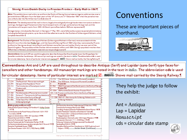### Slesvig:-From-Danish-Duchy-to-Prussian-Province---Early-Mail-to-18679

Aim:•This exhibits hows-mail-within, to-and-from the Duchy-of-Slesvig, from-private carriage-to-publicservice, over a-.<br>periodofalmost 300 years from the latter years of the 16\* century to 31\* December 1867 when the postal service was unified under the North German Confederation.

Structure: The development of the mail is shown, largely chronologically through handwritten instructions and town .<br>markings, the beginning of framed and other hand stamped marks of origin, particularly on foreign mail, and the ] #intro duction of true post∙marks from∙1844.∙All•Danish∙post offices∙before 1864-are∙represented

.<br>Postage stamps, intro duce d by Denmark-in Slesvig on Ht May-1851, were followed by successive postal administrations, .<br>Including the field postalsystems, up to the end of the adhesive issues for the Duchies of Schleswig and Holstein, which complete the exhibit.

Back ground: The Duchies of Slesvigand Holsten (Schleswigand Holstein in German) were associated with the Danish Crown from the late Middle Ages, until the Second Schleswig War of 1864 when they were seized by Prussia .<br>and Austria. Slesvigwas always more Danish and Holstein more German, and neither Duchy was ever part of the ' Danish-Kingdom. The population of the Duchies -did-not-exceed a-million-until-1864. Slesvig's population was less than-30% of that in Holstein, and philatelic material is correspondingly scarce.

Conventions: Ant and LAP are used throughout to describe Antiqua (Serif) and Lapidar (sans-Serif) type faces for cancellers and other handstamps. All manuscript markings are noted in the text in *italics*. The abbreviation Cds is used for circular datestamp. Items of particular interest are marked M. states. Shows mail carried by the Slesvig Railway.

## Conventions

These are important pieces of shorthand.



Conventions: Ant and LAP are used throughout to describe Antiqua (Serif) and Lapidar (sans-Serif) type faces for cancellers and other handstamps. All manuscript markings are noted in the text in *italics*. The abbreviation cds is used for circular datestamp. Items of particular interest are marked  $\boxtimes$ . shows mail carried by the Slesvig Railway.

|              | Frame-20                                                                                                                                                                                                                                                                                                                     | 73-770  | The 1854 issue - Antiqua and Numeral Cance                                                                                                                                                                                                                                                                                                                                                                                              |  |
|--------------|------------------------------------------------------------------------------------------------------------------------------------------------------------------------------------------------------------------------------------------------------------------------------------------------------------------------------|---------|-----------------------------------------------------------------------------------------------------------------------------------------------------------------------------------------------------------------------------------------------------------------------------------------------------------------------------------------------------------------------------------------------------------------------------------------|--|
| $17 - 21n$   | The-Royal-mail--Manuscript-markings¤                                                                                                                                                                                                                                                                                         | 78-80¤  | The-1858-issue -- Antiqua-and-Numeral Cancellers¤                                                                                                                                                                                                                                                                                                                                                                                       |  |
| $22 - 290$   | Slesvig and the Napoleonic Wars¤                                                                                                                                                                                                                                                                                             | п       | Frame 6¤                                                                                                                                                                                                                                                                                                                                                                                                                                |  |
| $30 - 31n$   | The-Introduction of framed-post-marks¤                                                                                                                                                                                                                                                                                       | 81-96¤  | 1862/3-Last-years of the-Danish-post-in-the-Duchy of-Slesvigt                                                                                                                                                                                                                                                                                                                                                                           |  |
| 32¤          | Cholera-mail¤                                                                                                                                                                                                                                                                                                                | п       | Frame 7In                                                                                                                                                                                                                                                                                                                                                                                                                               |  |
|              | Frame-3p                                                                                                                                                                                                                                                                                                                     | 97-104p | 1864 and the Danish/Austrian-Prussian-Ward                                                                                                                                                                                                                                                                                                                                                                                              |  |
| $33 - 36\pi$ | Handstampedand-Manuscript-town-marks¤                                                                                                                                                                                                                                                                                        |         | 105-1120 Prussian-and-Austrian-Post-in-the-Duchy of Slesvigo                                                                                                                                                                                                                                                                                                                                                                            |  |
| $37 - 38$    | Antiqua-II-The one-and-a-half-ring-datestamp4 =                                                                                                                                                                                                                                                                              |         | Frame 8n                                                                                                                                                                                                                                                                                                                                                                                                                                |  |
| $39 - 40n$   | Ship-mail and the Duchy of Slesvig¤                                                                                                                                                                                                                                                                                          |         | 113-1280 1865-67 - New stamps for Schleswig, Holstein and D                                                                                                                                                                                                                                                                                                                                                                             |  |
| $41 - 480$   | Three-Years-War-1848-1851 The-First¤                                                                                                                                                                                                                                                                                         | ۰       | Schleswig-Holstein¤                                                                                                                                                                                                                                                                                                                                                                                                                     |  |
|              | Schleswig-Up rising¤                                                                                                                                                                                                                                                                                                         |         |                                                                                                                                                                                                                                                                                                                                                                                                                                         |  |
| 19754        | Altdeutschland-Spezial-Katalog-und-Handbuch-5.-Auflag-Grobe-<br>An-Introduction-to-the-Postal-History-of-Denmark-1624-1950-<br>Cornelius-20041<br>Bogen om danske breve 1800-1851 lacobsen 1999<br>Klassisk-Danmark-DAKA-1999<br>Danmarks-Poststempler-Vagn-Jensen-2002-<br>Danske-Poststemplerfør Frimærketiden-Rathje-1953 |         | Französische Armeepost-Rein hardt-1986¶<br>Grundbog i Analyse af Danske Prefilatelistiske Breve Maintz - 1987<br>Nordisk-Filatelistisk-Tidskrift an d-Posthistorisk-Tidskrift<br>P&Ts Historie (Del·1-2) General Direktoratet for Post og-<br>Telegrafvæsenet-1991¶<br>Postbesørgelsen i Danmark-under 1864-krigen Mee do m-1998<br>Postvæsenet i Danmark 1711-1848 Olsen 1903<br>Schleswig-Holsteinische Arbeitgemeinschaft-Handbooks¶ |  |

They help the judge to follow the exhibit:

Ant = Antiqua Lap = Lapidar Manuscript cds = circular date stamp

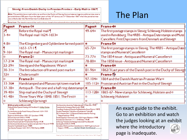#### Slesvig: From Danish Duchy to Prussian Province -- Early Mail to 18679 ٠

Aim: This exhibits hows mail within, to and from the Duchy of Slesvig, from private carriage to public service, over a periodofalmost 300 years from the latter years of the 16th century to 31th December 1867 when the postal service was unified under the North German Confederation.

## **The Plan**

page is inadequate.

**TESH PHY** 

Structure: The development of the mail is shown dargely chronologically through handwritte sinstay tions and town

| Pages¤                   | Frame-l¤                                                                                                                                                                                                                                                                                                                                                                                                                                                                                                                                                                                                                                                                                                                                                                                                                                                                                                                                                                                                                                                                                                                                                     | Pages¤        | Frame-4¤                                                                                                                                                                                                                                                                                                                                                        |
|--------------------------|--------------------------------------------------------------------------------------------------------------------------------------------------------------------------------------------------------------------------------------------------------------------------------------------------------------------------------------------------------------------------------------------------------------------------------------------------------------------------------------------------------------------------------------------------------------------------------------------------------------------------------------------------------------------------------------------------------------------------------------------------------------------------------------------------------------------------------------------------------------------------------------------------------------------------------------------------------------------------------------------------------------------------------------------------------------------------------------------------------------------------------------------------------------|---------------|-----------------------------------------------------------------------------------------------------------------------------------------------------------------------------------------------------------------------------------------------------------------------------------------------------------------------------------------------------------------|
| $3-4a$                   | Before the Royal mail -<br>The Royal mail 1624-1653¤                                                                                                                                                                                                                                                                                                                                                                                                                                                                                                                                                                                                                                                                                                                                                                                                                                                                                                                                                                                                                                                                                                         | 49-64¤        | The first postage stamps in Slesvig Schleswig-Holstein stamps<br>used-in-Rendsburg-The-4RBS---Antiqua-Date-stamps-and-Mute<br>Cancellers: First Day covers from Denmark and Slesvigo                                                                                                                                                                            |
| $4-8a$                   | The Klingenberg and Gyldenløve farmed post¤  ¤                                                                                                                                                                                                                                                                                                                                                                                                                                                                                                                                                                                                                                                                                                                                                                                                                                                                                                                                                                                                                                                                                                               |               | Frame-5¤                                                                                                                                                                                                                                                                                                                                                        |
| $9 - 16a$                | $1653 - 17114$<br>The Royal-mail--Manuscript-markings¤                                                                                                                                                                                                                                                                                                                                                                                                                                                                                                                                                                                                                                                                                                                                                                                                                                                                                                                                                                                                                                                                                                       | $65 - 72a$    | The first postage stamps in Slesvig. The 4RBS - Antiqua Date C<br>stamps and Numeral Cancellers¤                                                                                                                                                                                                                                                                |
|                          | Frame-2¤                                                                                                                                                                                                                                                                                                                                                                                                                                                                                                                                                                                                                                                                                                                                                                                                                                                                                                                                                                                                                                                                                                                                                     | $73 - 77a$    | The-1854-issue--Antiqua-and-Numeral-Cancellers¤                                                                                                                                                                                                                                                                                                                 |
| $17 - 21$                | The Royal mail - Manuscript markings#                                                                                                                                                                                                                                                                                                                                                                                                                                                                                                                                                                                                                                                                                                                                                                                                                                                                                                                                                                                                                                                                                                                        | 78-80¤        | The-1858-issue--Antiqua and Numeral-Cancellers¤                                                                                                                                                                                                                                                                                                                 |
| $22 - 29a$               | Slesvig and the Napoleonic Wars¤                                                                                                                                                                                                                                                                                                                                                                                                                                                                                                                                                                                                                                                                                                                                                                                                                                                                                                                                                                                                                                                                                                                             | п             | Frame-6¤                                                                                                                                                                                                                                                                                                                                                        |
| $30 - 31a$               | The Introduction of framed post marks¤                                                                                                                                                                                                                                                                                                                                                                                                                                                                                                                                                                                                                                                                                                                                                                                                                                                                                                                                                                                                                                                                                                                       | $81 - 96$ ¤   | 1862/3 Last years of the Danish post in the Duchy of Slesvig                                                                                                                                                                                                                                                                                                    |
| 32 <sub>0</sub>          | Cholera-mail¤                                                                                                                                                                                                                                                                                                                                                                                                                                                                                                                                                                                                                                                                                                                                                                                                                                                                                                                                                                                                                                                                                                                                                | п             | Frame <sub>·</sub> 7¤                                                                                                                                                                                                                                                                                                                                           |
|                          | Frame-3¤                                                                                                                                                                                                                                                                                                                                                                                                                                                                                                                                                                                                                                                                                                                                                                                                                                                                                                                                                                                                                                                                                                                                                     | 97-104¤       | 1864 and the Danish/Austrian-Prussian-War¤                                                                                                                                                                                                                                                                                                                      |
| $33 - 36\pi$             | Handstamped-and-Manuscript-town-marks¤                                                                                                                                                                                                                                                                                                                                                                                                                                                                                                                                                                                                                                                                                                                                                                                                                                                                                                                                                                                                                                                                                                                       |               | 105-112¤ Prussian and Austrian Post in the Duchy of Slesvig¤                                                                                                                                                                                                                                                                                                    |
| 37-38¤                   | Antiquall-The one and a half ring datestampd =                                                                                                                                                                                                                                                                                                                                                                                                                                                                                                                                                                                                                                                                                                                                                                                                                                                                                                                                                                                                                                                                                                               |               | Frame-8¤                                                                                                                                                                                                                                                                                                                                                        |
| 39-40¤                   | Ship-mail-and-the-Duchy-of-Slesvig¤                                                                                                                                                                                                                                                                                                                                                                                                                                                                                                                                                                                                                                                                                                                                                                                                                                                                                                                                                                                                                                                                                                                          | $113 - 128$ ¤ | 1865-67-New-stamps-for-Schleswig, Holstein-and-¤                                                                                                                                                                                                                                                                                                                |
| $41 - 480$               | Three-Years-War-1848-1851.-The-First¤                                                                                                                                                                                                                                                                                                                                                                                                                                                                                                                                                                                                                                                                                                                                                                                                                                                                                                                                                                                                                                                                                                                        | σ             | Schleswig-Holstein¤                                                                                                                                                                                                                                                                                                                                             |
|                          | Schleswig-Uprising¤                                                                                                                                                                                                                                                                                                                                                                                                                                                                                                                                                                                                                                                                                                                                                                                                                                                                                                                                                                                                                                                                                                                                          | σ             |                                                                                                                                                                                                                                                                                                                                                                 |
| 19754<br>Cornelius-20041 | Die klassischen deutschen Feldpoststempel-Wildschütz-1995<br><b>Bibliography and Sourcess</b><br>Altdeutschland-Spezial-Katalog-und-Handbuch-5.-Auflag-Grobe-<br>Französische Armeepost-Rein hardt 1986<br>Grundbog i Analyse af Danske Prefilatelistiske Breve Maintz - 1987<br>Nordisk-Filatelistisk-Tidskrift an d-Posthistorisk-Tidskrift<br>\n-Introduction-to-the-Postal-History-of-Denmark-1624-1950-<br>P&Ts-Historie-(Del-1-2)-General-Direktoratet-for-Post-og-<br>Bogen om danske breve 1800-1851   aco bsen 1999¶<br>Telegrafvæsenet-1991¶<br>(Jassisk-Danmark-DAKA-1999¶<br>Postbesørgelsen i Danmark under 1864-krigen Meedom 1998<br>Danmarks-Poststempler-Vagn-Jensen-2002-<br>Postvæsenet i Danmark 1711-1848 Olsen 1903<br>Danske-Poststempler før Frimærketiden-Rathje-1953<br>Schleswig-Holsteinische Arbeitgemeinschaft-Handbooks<br>Sønderjylland-DAKA-1999¶<br>De Danske Jembanebureauer og deres stempler Del-2-Hoverd-1995<br>Deutsche-Vorphilatelie-Feuser-1988<br>Stampless-Mail-to-and-from-Scandinavia-to-1868-Hugh mark-and-<br>Halpern-1999( Section Break (Continuous) .<br>Den-Danske-Postetat-1624-1927-(1983)-Nørby-2008¶ |               | An exact guide to the exhibit.<br>Go to an exhibition and watch<br>the judges looking at an exhibit<br>where the introductory<br>and the contract of the contract of the contract of the contract of the contract of the contract of the contract of the contract of the contract of the contract of the contract of the contract of the contract of the contra |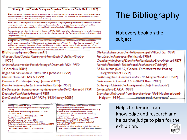### Slesvig: From Danish Duchy to Prussian Province -- Early Mail to 18671

Aim:•This exhibits hows mail within, to and from the Duchy of Slesvig, from private carriage to publicservice, over a .<br>periodofalmost 300 years from the latter years of the 16\* century to 31\* December 1867 when the postal service was unified under the North German Confederation.

Structure: The development of the mail is shown, largely chronologically through handwritten instructions and town .<br>markings, the beginning of framed and other hand stamped marks of origin, particularly on foreign mail, and the ] #intro duction of true post∙marks from∙1844.∙All•Danish∙post offices∙before 1864-are∙represented

.<br>Postage stamps, intro duce d by Denmark-in Slesvig on Ht May-1851, were followed by successive postal administrations, .<br>Including the field postalsystems, up to the end of the adhesive issues for the Duchies of Schleswig and Holstein, which complete the exhibit.

Back ground: The Duchies of Slesvigand Holsten (Schleswigand Holstein in German) were associated with the .<br>Danish Crown from the late Middle Ages, until the Second Schleswig War of 1864 when they were seized by Prussia .<br>and Austria. Slesvigwas always more Danish and Holstein more German, and neither Duchy was ever part of the i Danish Kingdom. The population of the Duchies-did-not-exceed a-million-until-1864. Slesvig's population was less than-

### **Bibliography and Sources** 1

Altdeutschland Spezial-Katalog und Handbuch 5. Auflag: Grobe 19751

An Introduction to the Postal History of Denmark 1624-1950 Cornelius-20041 Bogen-om-danske-breve-1800-1851-Jacobsen-1999¶

Klassisk-Danmark-DAKA-1999¶

Danmarks-Poststempler-Vagn-Jensen-2002-

Danske-Poststempler-før-Frimærketiden-Rathje-1953¶ De Danske Jernbanebureauer og deres stempler Del 2 Hovard 1995 Deutsche Vorphilatelie Feuser 1988

Den Danske Postetat 1624-1927 (1983) Nørby 2008

#### **Bibliography and Sources! 4**

Altdeutschland-Spezial-Katalog-und-Handbuch-5.-Auflag-;Grobe-19754 An-Introduction-to-the-Postal-History-of-Denmark-1624-1950-Cornelius-2004 Bogen om danske breve 1800-1851 | aco bsen 1999 Klassisk-Danmark-DAKA-1999¶ Danmarks-Poststempler-Vagn-Jensen-2002-Danske-Poststempler før Frimærketiden-Rathje-1953 De Danske Jembanebureauer og deres stempler Del 2 Hovard 1995 Deutsche-Vorphilatelie-Feuser-1988 Den-Danske-Postetat-1624-1927-(1983)-Nørby-2008

Die klassischen deutschen Feldpoststempel Wildschütz-19954 Französische-Armeepost-Rein hardt-1986¶ Grundbog-i-Analyse-af-Danske-Prefilatelistiske-Breve-Maintz-1987 Nordisk-Filatelistisk-Tidskrift an d-Posthistorisk-Tidskrift P&Ts-Historie-(Del-1-2)-General-Direktoratet-for-Post-og-Telegrafvæsenet-1991 Postbesørgelsen i Danmark-under 1864-krigen Mee do m-1998¶ Postvæsenet i Danmark 1711-1848 Olsen - 1903 1 Schleswig-Holsteinische Arbeitgemeinschaft-Handbooks¶ Sanderjylland DAKA 1999 Stampless-Mail-to-and-from-Scandinavia-to-1868-Hugh mark-an d-Halpern-1999¶ ................Section Break (Continuous) ............

# The Bibliography

### Not every book on the subject.

Die klassischen deutschen Feldpoststempel Wildschütz 1995 Französische Armeepost Reinhardt 1986 Grundbog-i-Analyse-af-Danske-Prefilatelistiske-Breve-Maintz-1987¶ Nordisk-Filatelistisk-Tidskrift-and-Posthistorisk-Tidskrift P&Ts-Historie-(Del-1-2)-General-Direktoratet-for-Post-og-Telegrafvæsenet 1991¶ Postbesørgelsen i Danmark under 1864 krigen Meedom 1998¶ Postvæsenet i Danmark 1711-1848 Olsen 1903¶ Schleswig-Holsteinische Arbeitgemeinschaft Handbooks¶ Sønderivlland DAK A 1999¶ Stampless-Mail-to-and-from-Scandinavia-to-1868-Hughmark-and-Halpern 19991 ...........................Section Break (Continuous) ................................

> Helps to demonstrate knowledge and research and helps the judge to plan for the exhibition.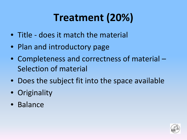# **Treatment (20%)**

- Title does it match the material
- Plan and introductory page
- Completeness and correctness of material Selection of material
- Does the subject fit into the space available
- Originality
- Balance